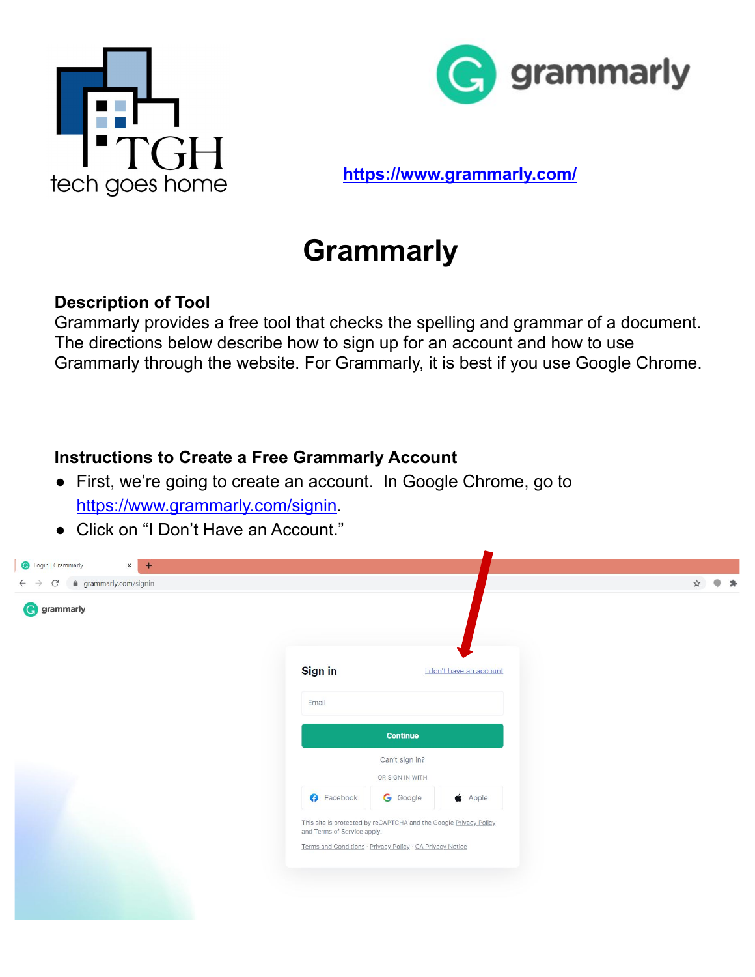



**<https://www.grammarly.com/>**

# **Grammarly**

### **Description of Tool**

Grammarly provides a free tool that checks the spelling and grammar of a document. The directions below describe how to sign up for an account and how to use Grammarly through the website. For Grammarly, it is best if you use Google Chrome.

### **Instructions to Create a Free Grammarly Account**

- First, we're going to create an account. In Google Chrome, go to <https://www.grammarly.com/signin>.
- Click on "I Don't Have an Account."

| <b>G</b> grammarly |                                                                                                  |                                   |                         |  |
|--------------------|--------------------------------------------------------------------------------------------------|-----------------------------------|-------------------------|--|
|                    | Sign in                                                                                          |                                   | I don't have an account |  |
|                    | Email                                                                                            |                                   |                         |  |
|                    |                                                                                                  | Continue                          |                         |  |
|                    |                                                                                                  | Can't sign in?<br>OR SIGN IN WITH |                         |  |
|                    | <b>O</b> Facebook                                                                                | <b>G</b> Google                   | $\bullet$ Apple         |  |
|                    | This site is protected by reCAPTCHA and the Google Privacy Policy<br>and Terms of Service apply. |                                   |                         |  |
|                    | Terms and Conditions · Privacy Policy · CA Privacy Notice                                        |                                   |                         |  |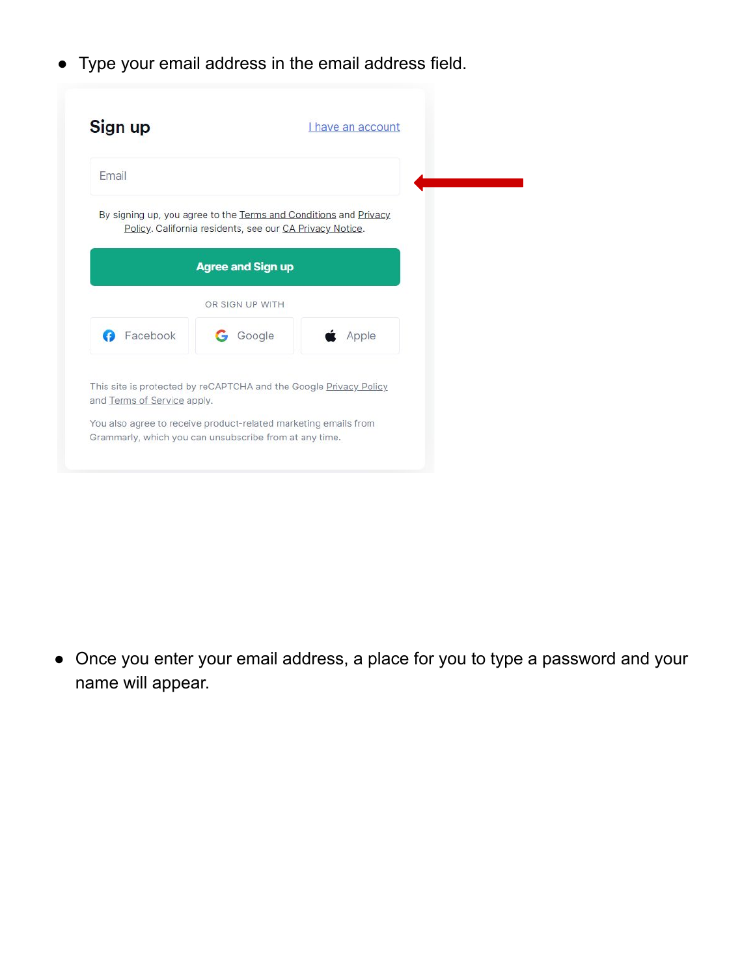● Type your email address in the email address field.

| Sign up       |                                                          | I have an account                                                |
|---------------|----------------------------------------------------------|------------------------------------------------------------------|
| Email         |                                                          |                                                                  |
|               | Policy. California residents, see our CA Privacy Notice. | By signing up, you agree to the Terms and Conditions and Privacy |
|               | <b>Agree and Sign up</b>                                 |                                                                  |
|               | OR SIGN UP WITH                                          |                                                                  |
| Facebook<br>Ø | Google                                                   | Apple                                                            |

● Once you enter your email address, a place for you to type a password and your name will appear.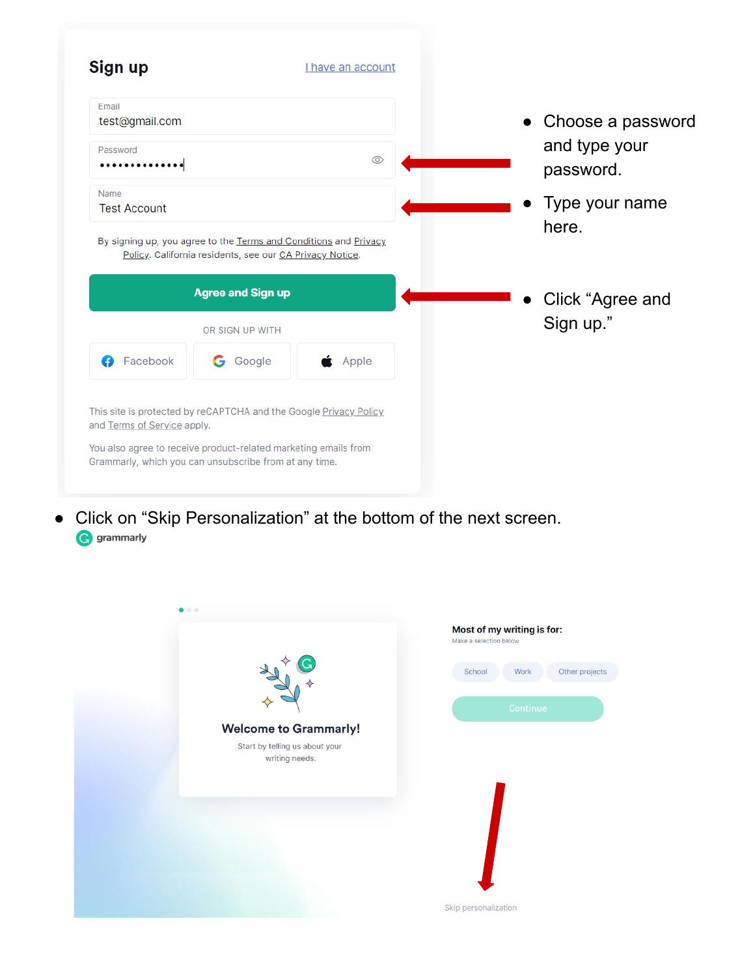| Email<br>test@gmail.com |                                                                                                                              |                |                                                 |
|-------------------------|------------------------------------------------------------------------------------------------------------------------------|----------------|-------------------------------------------------|
| Password<br>            |                                                                                                                              | $\circledcirc$ | Choose a password<br>and type your<br>password. |
| Name                    |                                                                                                                              |                |                                                 |
|                         | By signing up, you agree to the Terms and Conditions and Privacy<br>Policy. California residents, see our CA Privacy Notice. |                | Type your name<br>here.                         |
| <b>Test Account</b>     | <b>Agree and Sign up</b>                                                                                                     |                | Click "Agree and                                |
|                         | OR SIGN UP WITH                                                                                                              |                | Sign up."                                       |
| Facebook                | Google<br>G                                                                                                                  | Apple          |                                                 |
|                         | This site is protected by reCAPTCHA and the Google Privacy Policy                                                            |                |                                                 |

● Click on "Skip Personalization" at the bottom of the next screen. **G** grammarly

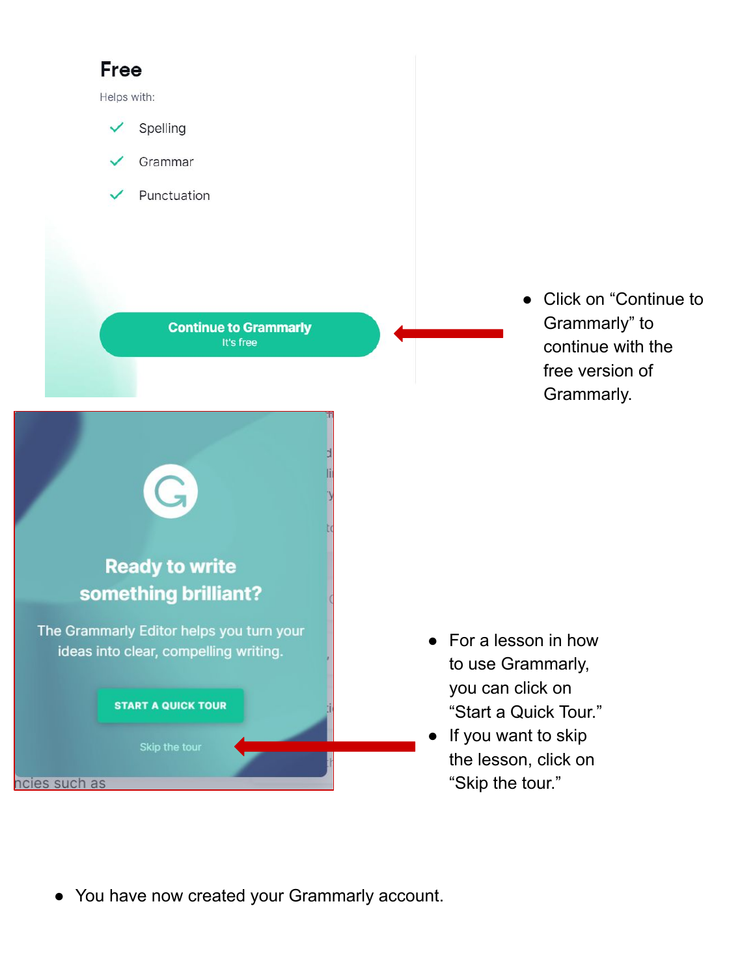# **Free**

Helps with:



- Grammar
- Punctuation

**Continue to Grammarly** It's free

● Click on "Continue to Grammarly" to continue with the free version of Grammarly.

- **Ready to write** something brilliant? The Grammarly Editor helps you turn your ideas into clear, compelling writing. **START A QUICK TOUR** 
	-
- ncies such as
- For a lesson in how to use Grammarly, you can click on "Start a Quick Tour."
- If you want to skip the lesson, click on "Skip the tour."
- You have now created your Grammarly account.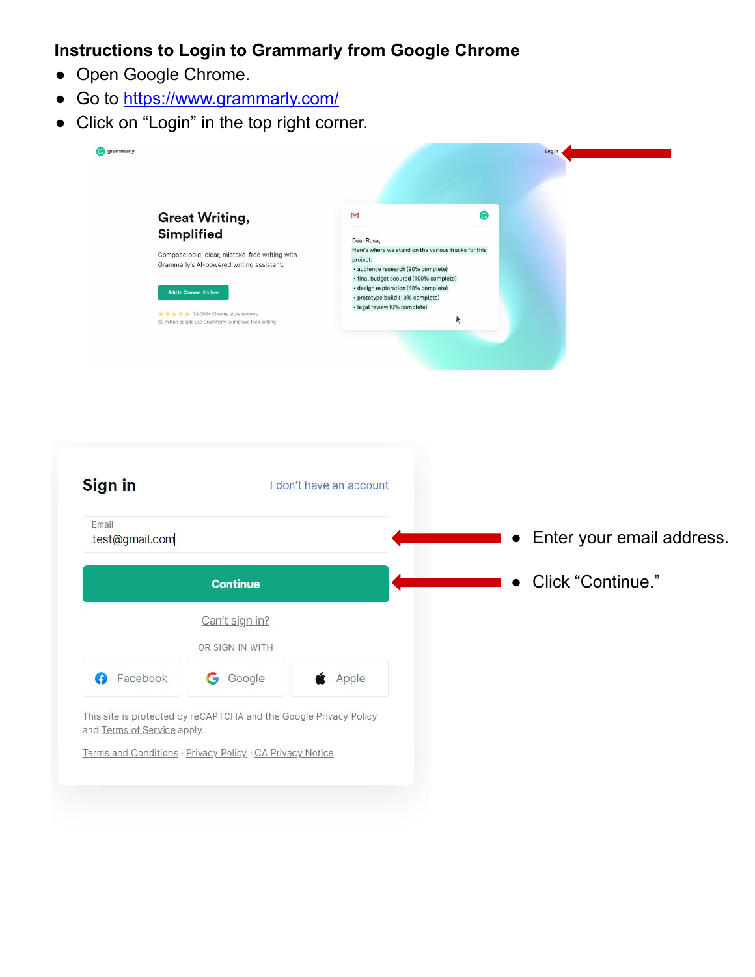#### **Instructions to Login to Grammarly from Google Chrome**

- Open Google Chrome.
- Go to [https://www.grammarly.com/](https://www.grammarly.com/signin)
- Click on "Login" in the top right corner.

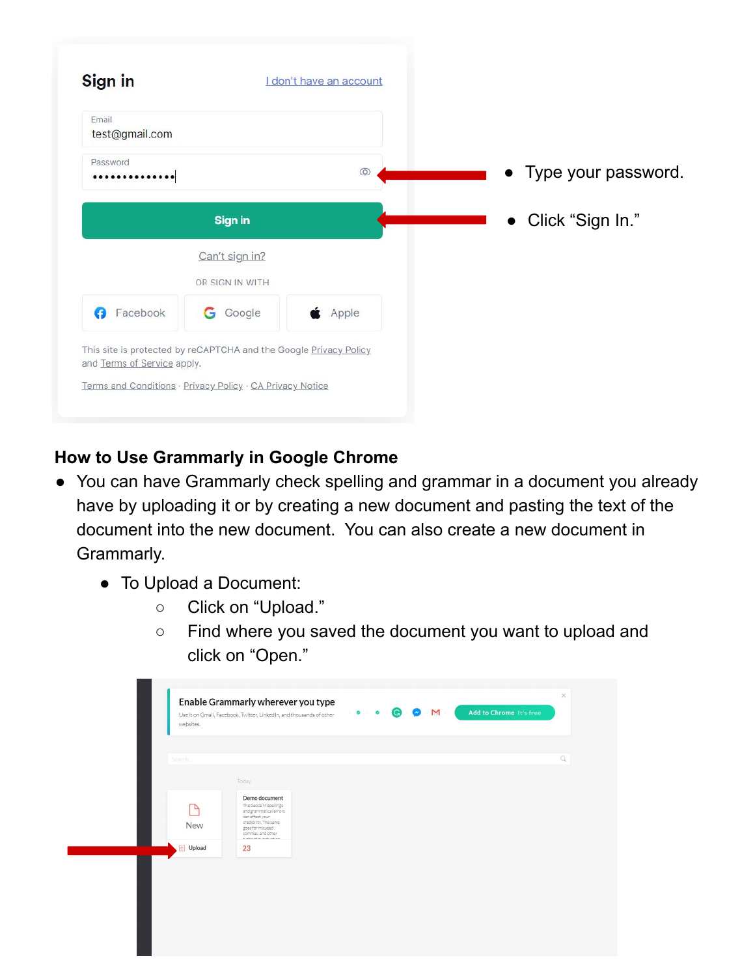| Email<br>test@gmail.com |                                   |                |                       |
|-------------------------|-----------------------------------|----------------|-----------------------|
| Password<br>            |                                   | $\circledcirc$ | • Type your password. |
|                         | <b>Sign in</b>                    |                | • Click "Sign In."    |
|                         | Can't sign in?<br>OR SIGN IN WITH |                |                       |
| Facebook<br>ø           | Google<br>G                       | Apple          |                       |

## **How to Use Grammarly in Google Chrome**

- You can have Grammarly check spelling and grammar in a document you already have by uploading it or by creating a new document and pasting the text of the document into the new document. You can also create a new document in Grammarly.
	- To Upload a Document:
		- Click on "Upload."
		- Find where you saved the document you want to upload and click on "Open."

| Search   |                                                                                                                                                                           |  | $\mathbb Q$ |
|----------|---------------------------------------------------------------------------------------------------------------------------------------------------------------------------|--|-------------|
|          | Today                                                                                                                                                                     |  |             |
| ▵<br>New | Demo document<br>The basics Mispellings<br>and grammatical errors<br>can effect your<br>credibility. The same<br>goes for misused<br>commas, and other<br>kansaksunkudan. |  |             |
| Upload   | 23                                                                                                                                                                        |  |             |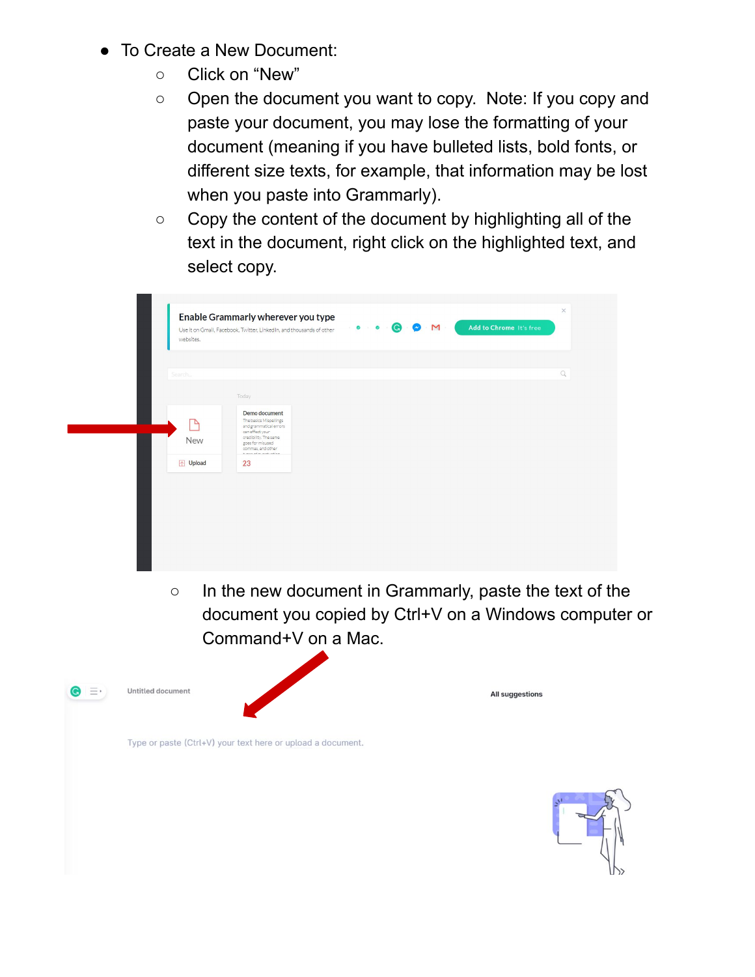- To Create a New Document:
	- Click on "New"
	- Open the document you want to copy. Note: If you copy and paste your document, you may lose the formatting of your document (meaning if you have bulleted lists, bold fonts, or different size texts, for example, that information may be lost when you paste into Grammarly).
	- Copy the content of the document by highlighting all of the text in the document, right click on the highlighted text, and select copy.

| websites.         | Enable Grammarly wherever you type<br>Use it on Gmail, Facebook, Twitter, LinkedIn, and thousands of other                                                                      | Add to Chrome It's free |                                         |
|-------------------|---------------------------------------------------------------------------------------------------------------------------------------------------------------------------------|-------------------------|-----------------------------------------|
|                   |                                                                                                                                                                                 |                         |                                         |
|                   |                                                                                                                                                                                 |                         | $\hbox{\ensuremath{\mathsf{Q}}\xspace}$ |
|                   | Today                                                                                                                                                                           |                         |                                         |
| ٩<br>New          | Demo document<br>The basics Mispellings<br>and grammatical errors<br>can effect your<br>credibility. The same<br>goes for misused<br>commas, and other<br>himan of minoritation |                         |                                         |
| ↑ Upload          | 23                                                                                                                                                                              |                         |                                         |
|                   |                                                                                                                                                                                 |                         |                                         |
|                   |                                                                                                                                                                                 |                         |                                         |
|                   |                                                                                                                                                                                 |                         |                                         |
|                   |                                                                                                                                                                                 |                         |                                         |
|                   |                                                                                                                                                                                 |                         |                                         |
| $\circ$           | In the new document in Grammarly, paste the text of the                                                                                                                         |                         |                                         |
|                   | document you copied by Ctrl+V on a Windows computer or                                                                                                                          |                         |                                         |
|                   | Command+V on a Mac.                                                                                                                                                             |                         |                                         |
|                   |                                                                                                                                                                                 |                         |                                         |
|                   |                                                                                                                                                                                 |                         |                                         |
| Untitled document |                                                                                                                                                                                 | <b>All suggestions</b>  |                                         |
|                   |                                                                                                                                                                                 |                         |                                         |
|                   | Type or paste (Ctrl+V) your text here or upload a document.                                                                                                                     |                         |                                         |
|                   |                                                                                                                                                                                 |                         |                                         |
|                   |                                                                                                                                                                                 |                         |                                         |
|                   |                                                                                                                                                                                 |                         |                                         |
|                   |                                                                                                                                                                                 |                         |                                         |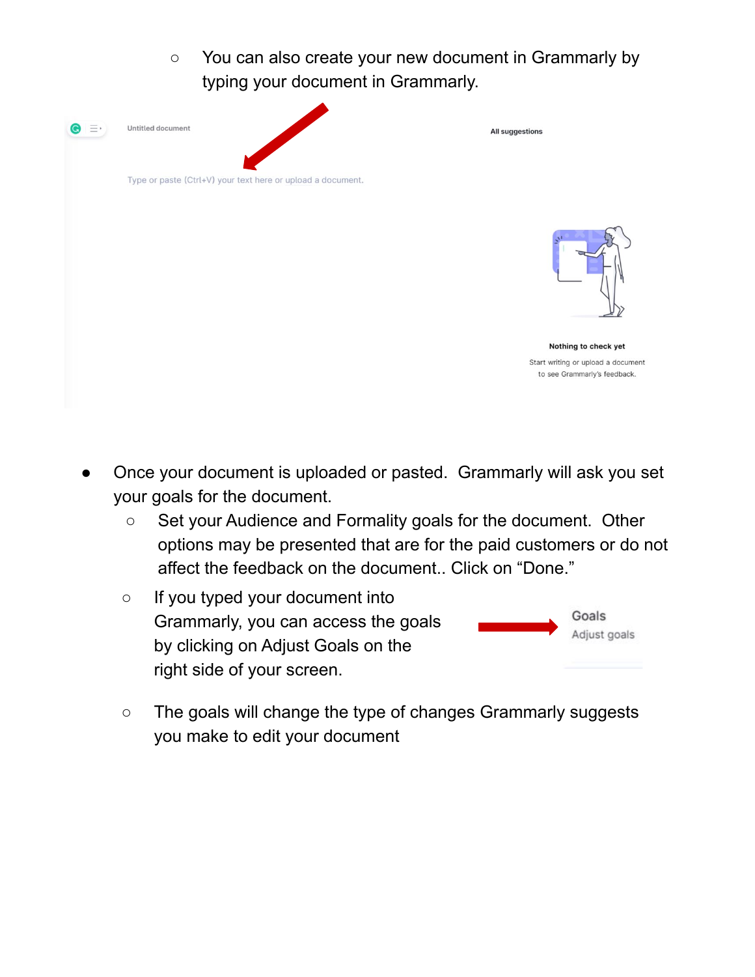



Nothing to check yet Start writing or upload a document to see Grammarly's feedback.

- Once your document is uploaded or pasted. Grammarly will ask you set your goals for the document.
	- Set your Audience and Formality goals for the document. Other options may be presented that are for the paid customers or do not affect the feedback on the document.. Click on "Done."
	- If you typed your document into Grammarly, you can access the goals by clicking on Adjust Goals on the right side of your screen.

Type or paste (Ctrl+V) your text here or upload a document.



○ The goals will change the type of changes Grammarly suggests you make to edit your document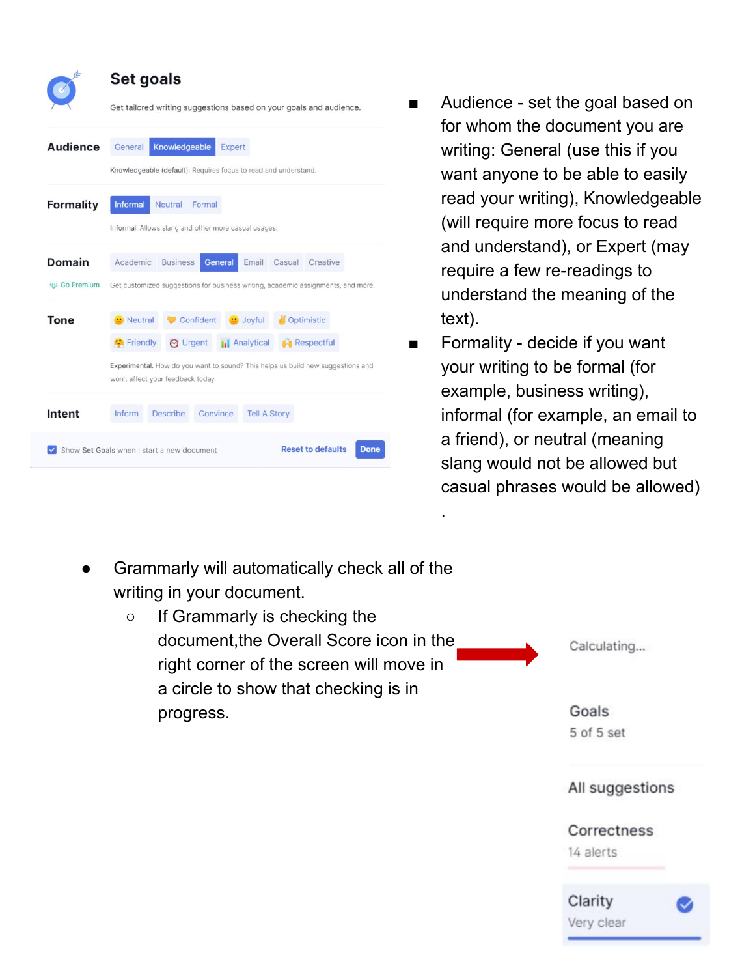| Knowledgeable<br>Expert<br>Knowledgeable (default): Requires focus to read and understand.<br><b>Neutral</b><br>Formal<br>Informal: Allows slang and other more casual usages.<br>Academic<br><b>Business</b><br>General<br>Casual Creative<br>Email                               |
|------------------------------------------------------------------------------------------------------------------------------------------------------------------------------------------------------------------------------------------------------------------------------------|
|                                                                                                                                                                                                                                                                                    |
|                                                                                                                                                                                                                                                                                    |
| Get customized suggestions for business writing, academic assignments, and more                                                                                                                                                                                                    |
| Confident<br>$\blacksquare$ Neutral<br>Optimistic<br><b>U</b> Joyful<br><b>O</b> Urgent<br><b>Ini</b> Analytical<br><b>Respectful</b><br><b>C</b> Friendly<br>Experimental. How do you want to sound? This helps us build new suggestions and<br>won't affect your feedback today. |
| <b>Describe</b>                                                                                                                                                                                                                                                                    |

Show Set Goals when I start a new document

- Audience set the goal based on for whom the document you are writing: General (use this if you want anyone to be able to easily read your writing), Knowledgeable (will require more focus to read and understand), or Expert (may require a few re-readings to understand the meaning of the text).
- Formality decide if you want your writing to be formal (for example, business writing), informal (for example, an email to a friend), or neutral (meaning slang would not be allowed but casual phrases would be allowed)
- Grammarly will automatically check all of the writing in your document.

**Reset to defaults** 

Done



.

All suggestions

### Correctness

14 alerts

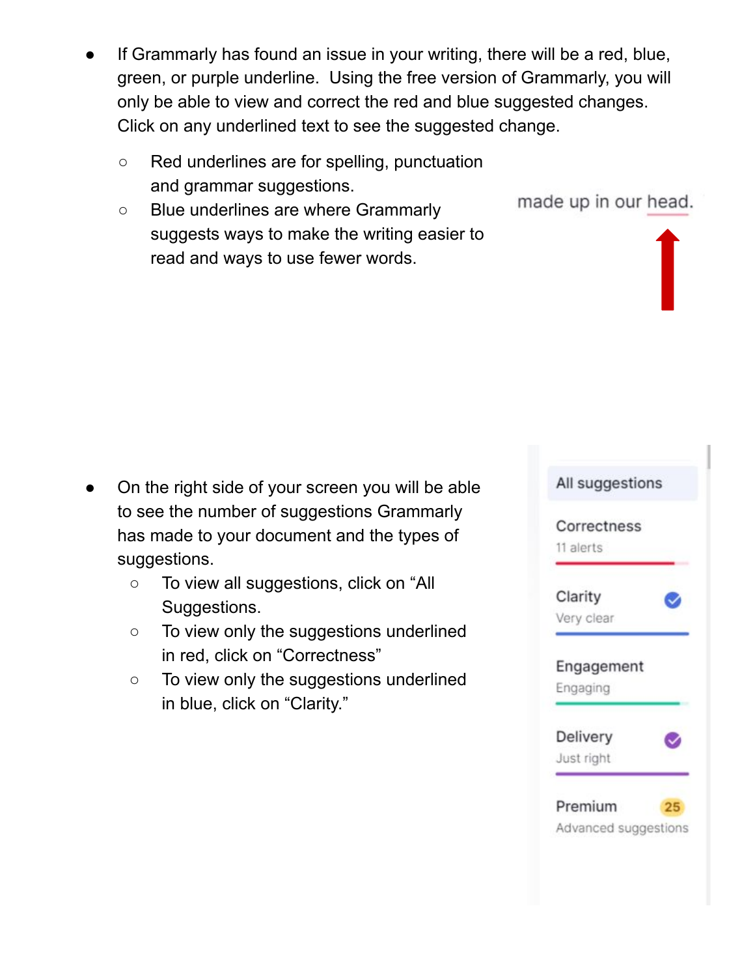- If Grammarly has found an issue in your writing, there will be a red, blue, green, or purple underline. Using the free version of Grammarly, you will only be able to view and correct the red and blue suggested changes. Click on any underlined text to see the suggested change.
	- Red underlines are for spelling, punctuation and grammar suggestions.
	- Blue underlines are where Grammarly suggests ways to make the writing easier to read and ways to use fewer words.

- On the right side of your screen you will be able to see the number of suggestions Grammarly has made to your document and the types of suggestions.
	- To view all suggestions, click on "All Suggestions.
	- To view only the suggestions underlined in red, click on "Correctness"
	- To view only the suggestions underlined in blue, click on "Clarity."



made up in our head.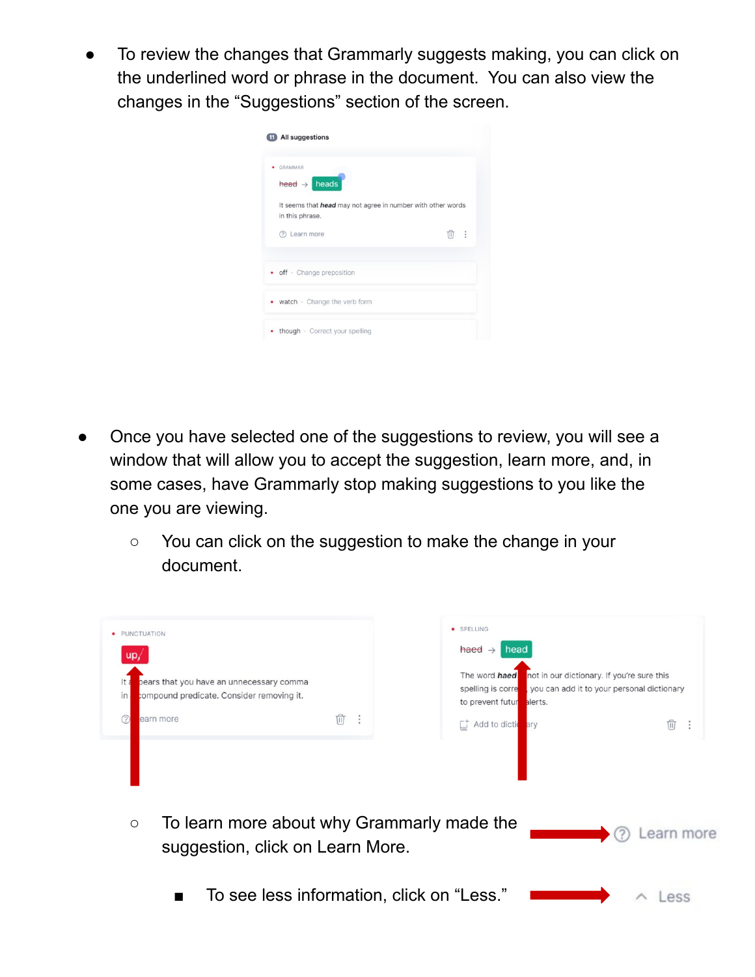To review the changes that Grammarly suggests making, you can click on the underlined word or phrase in the document. You can also view the changes in the "Suggestions" section of the screen.

| GRAMMAR<br>$\text{head} \rightarrow \text{ heads}$ |                                                                    |   |
|----------------------------------------------------|--------------------------------------------------------------------|---|
| in this phrase.                                    | It seems that <i>head</i> may not agree in number with other words |   |
| (?) Learn more                                     | π                                                                  | ÷ |
| • off · Change preposition                         |                                                                    |   |
| • watch · Change the verb form                     |                                                                    |   |
| • though · Correct your spelling                   |                                                                    |   |

- Once you have selected one of the suggestions to review, you will see a window that will allow you to accept the suggestion, learn more, and, in some cases, have Grammarly stop making suggestions to you like the one you are viewing.
	- You can click on the suggestion to make the change in your document.

| · PUNCTUATION<br>up                                                                         |        | · SPELLING<br>haed $\rightarrow$<br>head                                                                                                                      |                 |
|---------------------------------------------------------------------------------------------|--------|---------------------------------------------------------------------------------------------------------------------------------------------------------------|-----------------|
| pears that you have an unnecessary comma<br>compound predicate. Consider removing it.<br>in |        | not in our dictionary. If you're sure this<br>The word haed<br>you can add it to your personal dictionary<br>spelling is corre<br>alerts.<br>to prevent futur |                 |
| 7<br>earn more                                                                              | Ŵ<br>÷ | Add to diction<br>ary                                                                                                                                         | प्री<br>$\cdot$ |
|                                                                                             |        |                                                                                                                                                               |                 |
| To learn more about why Grammarly made the<br>$\circ$<br>suggestion, click on Learn More.   |        |                                                                                                                                                               | earn more       |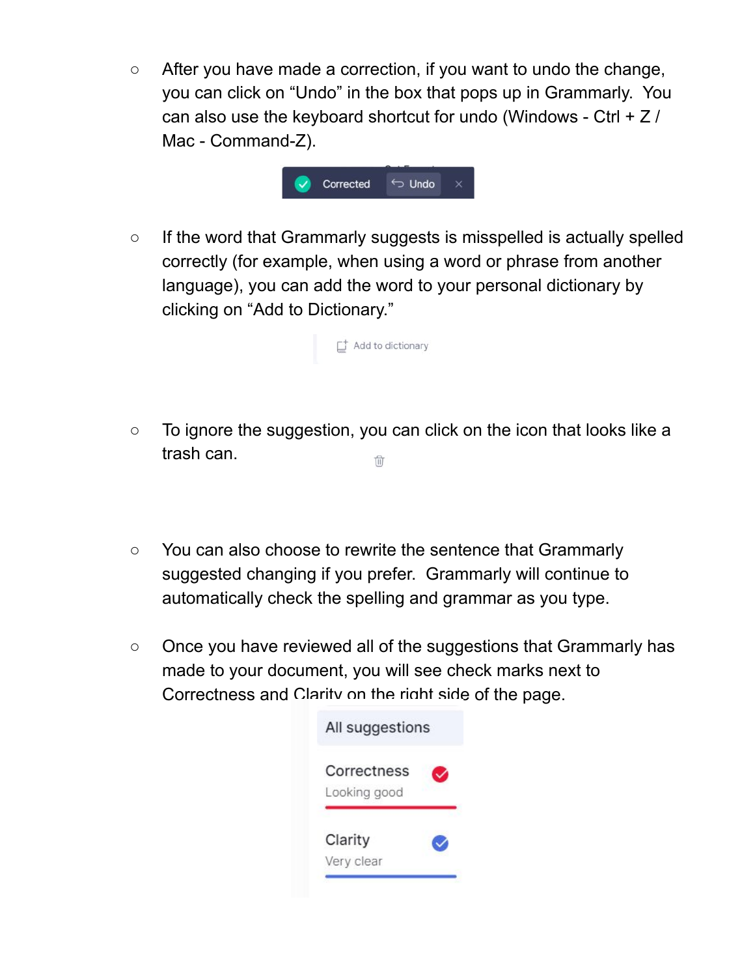○ After you have made a correction, if you want to undo the change, you can click on "Undo" in the box that pops up in Grammarly. You can also use the keyboard shortcut for undo (Windows - Ctrl + Z / Mac - Command-Z).



○ If the word that Grammarly suggests is misspelled is actually spelled correctly (for example, when using a word or phrase from another language), you can add the word to your personal dictionary by clicking on "Add to Dictionary."



- To ignore the suggestion, you can click on the icon that looks like a trash can. tî
- You can also choose to rewrite the sentence that Grammarly suggested changing if you prefer. Grammarly will continue to automatically check the spelling and grammar as you type.
- Once you have reviewed all of the suggestions that Grammarly has made to your document, you will see check marks next to Correctness and Clarity on the right side of the page.